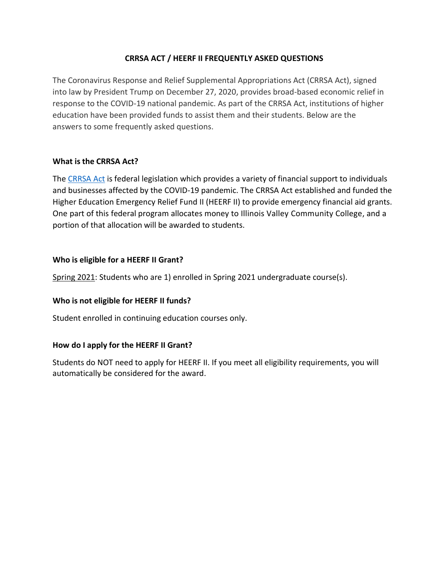# **CRRSA ACT / HEERF II FREQUENTLY ASKED QUESTIONS**

The Coronavirus Response and Relief Supplemental Appropriations Act (CRRSA Act), signed into law by President Trump on December 27, 2020, provides broad-based economic relief in response to the COVID-19 national pandemic. As part of the CRRSA Act, institutions of higher education have been provided funds to assist them and their students. Below are the answers to some frequently asked questions.

## **What is the CRRSA Act?**

The [CRRSA Act](https://www.ed.gov/news/press-releases/us-department-education-quickly-makes-available-more-21-billion-taxpayer-funds-support-continued-education-colleges-universities) is federal legislation which provides a variety of financial support to individuals and businesses affected by the COVID-19 pandemic. The CRRSA Act established and funded the Higher Education Emergency Relief Fund II (HEERF II) to provide emergency financial aid grants. One part of this federal program allocates money to Illinois Valley Community College, and a portion of that allocation will be awarded to students.

## **Who is eligible for a HEERF II Grant?**

Spring 2021: Students who are 1) enrolled in Spring 2021 undergraduate course(s).

## **Who is not eligible for HEERF II funds?**

Student enrolled in continuing education courses only.

#### **How do I apply for the HEERF II Grant?**

Students do NOT need to apply for HEERF II. If you meet all eligibility requirements, you will automatically be considered for the award.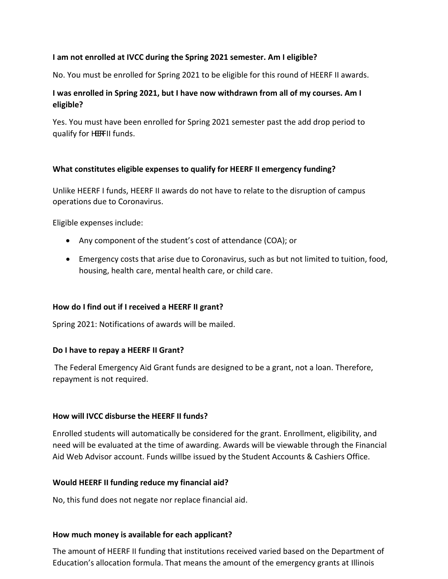## **I am not enrolled at IVCC during the Spring 2021 semester. Am I eligible?**

No. You must be enrolled for Spring 2021 to be eligible for this round of HEERF II awards.

# **I was enrolled in Spring 2021, but I have now withdrawn from all of my courses. Am I eligible?**

Yes. You must have been enrolled for Spring 2021 semester past the add drop period to qualify for HEFII funds.

## **What constitutes eligible expenses to qualify for HEERF II emergency funding?**

Unlike HEERF I funds, HEERF II awards do not have to relate to the disruption of campus operations due to Coronavirus.

Eligible expenses include:

- Any component of the student's cost of attendance (COA); or
- Emergency costs that arise due to Coronavirus, such as but not limited to tuition, food, housing, health care, mental health care, or child care.

## **How do I find out if I received a HEERF II grant?**

Spring 2021: Notifications of awards will be mailed.

#### **Do I have to repay a HEERF II Grant?**

The Federal Emergency Aid Grant funds are designed to be a grant, not a loan. Therefore, repayment is not required.

#### **How will IVCC disburse the HEERF II funds?**

Enrolled students will automatically be considered for the grant. Enrollment, eligibility, and need will be evaluated at the time of awarding. Awards will be viewable through the Financial Aid Web Advisor account. Funds willbe issued by the Student Accounts & Cashiers Office.

#### **Would HEERF II funding reduce my financial aid?**

No, this fund does not negate nor replace financial aid.

#### **How much money is available for each applicant?**

The amount of HEERF II funding that institutions received varied based on the Department of Education's allocation formula. That means the amount of the emergency grants at Illinois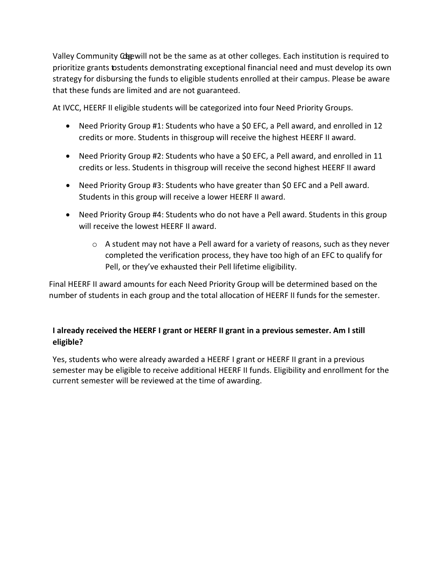Valley Community Colegwill not be the same as at other colleges. Each institution is required to prioritize grants tostudents demonstrating exceptional financial need and must develop its own strategy for disbursing the funds to eligible students enrolled at their campus. Please be aware that these funds are limited and are not guaranteed.

At IVCC, HEERF II eligible students will be categorized into four Need Priority Groups.

- Need Priority Group #1: Students who have a \$0 EFC, a Pell award, and enrolled in 12 credits or more. Students in thisgroup will receive the highest HEERF II award.
- Need Priority Group #2: Students who have a \$0 EFC, a Pell award, and enrolled in 11 credits or less. Students in thisgroup will receive the second highest HEERF II award
- Need Priority Group #3: Students who have greater than \$0 EFC and a Pell award. Students in this group will receive a lower HEERF II award.
- Need Priority Group #4: Students who do not have a Pell award. Students in this group will receive the lowest HEERF II award.
	- $\circ$  A student may not have a Pell award for a variety of reasons, such as they never completed the verification process, they have too high of an EFC to qualify for Pell, or they've exhausted their Pell lifetime eligibility.

Final HEERF II award amounts for each Need Priority Group will be determined based on the number of students in each group and the total allocation of HEERF II funds for the semester.

# **I already received the HEERF I grant or HEERF II grant in a previous semester. Am I still eligible?**

Yes, students who were already awarded a HEERF I grant or HEERF II grant in a previous semester may be eligible to receive additional HEERF II funds. Eligibility and enrollment for the current semester will be reviewed at the time of awarding.